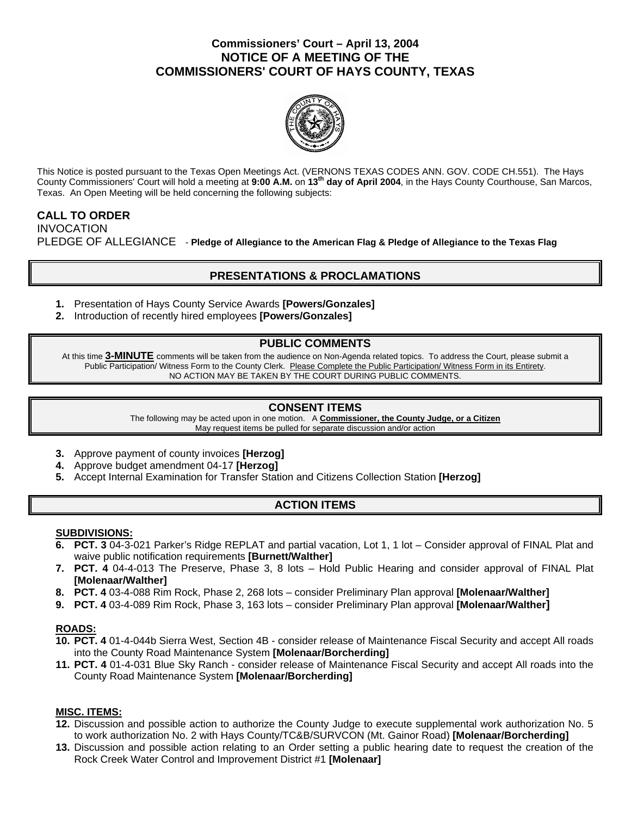# **Commissioners' Court – April 13, 2004 NOTICE OF A MEETING OF THE COMMISSIONERS' COURT OF HAYS COUNTY, TEXAS**



This Notice is posted pursuant to the Texas Open Meetings Act. (VERNONS TEXAS CODES ANN. GOV. CODE CH.551). The Hays County Commissioners' Court will hold a meeting at **9:00 A.M.** on **13th day of April 2004**, in the Hays County Courthouse, San Marcos, Texas. An Open Meeting will be held concerning the following subjects:

# **CALL TO ORDER**  INVOCATION PLEDGE OF ALLEGIANCE - **Pledge of Allegiance to the American Flag & Pledge of Allegiance to the Texas Flag**

# **PRESENTATIONS & PROCLAMATIONS**

- **1.** Presentation of Hays County Service Awards **[Powers/Gonzales]**
- **2.** Introduction of recently hired employees **[Powers/Gonzales]**

## **PUBLIC COMMENTS**

At this time **3-MINUTE** comments will be taken from the audience on Non-Agenda related topics. To address the Court, please submit a Public Participation/ Witness Form to the County Clerk. Please Complete the Public Participation/ Witness Form in its Entirety. NO ACTION MAY BE TAKEN BY THE COURT DURING PUBLIC COMMENTS.

## **CONSENT ITEMS**

The following may be acted upon in one motion. A **Commissioner, the County Judge, or a Citizen** May request items be pulled for separate discussion and/or action

- **3.** Approve payment of county invoices **[Herzog]**
- **4.** Approve budget amendment 04-17 **[Herzog]**
- **5.** Accept Internal Examination for Transfer Station and Citizens Collection Station **[Herzog]**

# **ACTION ITEMS**

### **SUBDIVISIONS:**

- **6. PCT. 3** 04-3-021 Parker's Ridge REPLAT and partial vacation, Lot 1, 1 lot Consider approval of FINAL Plat and waive public notification requirements **[Burnett/Walther]**
- **7. PCT. 4** 04-4-013 The Preserve, Phase 3, 8 lots Hold Public Hearing and consider approval of FINAL Plat **[Molenaar/Walther]**
- **8. PCT. 4** 03-4-088 Rim Rock, Phase 2, 268 lots consider Preliminary Plan approval **[Molenaar/Walther]**
- **9. PCT. 4** 03-4-089 Rim Rock, Phase 3, 163 lots consider Preliminary Plan approval **[Molenaar/Walther]**

## **ROADS:**

- **10. PCT. 4** 01-4-044b Sierra West, Section 4B consider release of Maintenance Fiscal Security and accept All roads into the County Road Maintenance System **[Molenaar/Borcherding]**
- **11. PCT. 4** 01-4-031 Blue Sky Ranch consider release of Maintenance Fiscal Security and accept All roads into the County Road Maintenance System **[Molenaar/Borcherding]**

### **MISC. ITEMS:**

- **12.** Discussion and possible action to authorize the County Judge to execute supplemental work authorization No. 5 to work authorization No. 2 with Hays County/TC&B/SURVCON (Mt. Gainor Road) **[Molenaar/Borcherding]**
- **13.** Discussion and possible action relating to an Order setting a public hearing date to request the creation of the Rock Creek Water Control and Improvement District #1 **[Molenaar]**